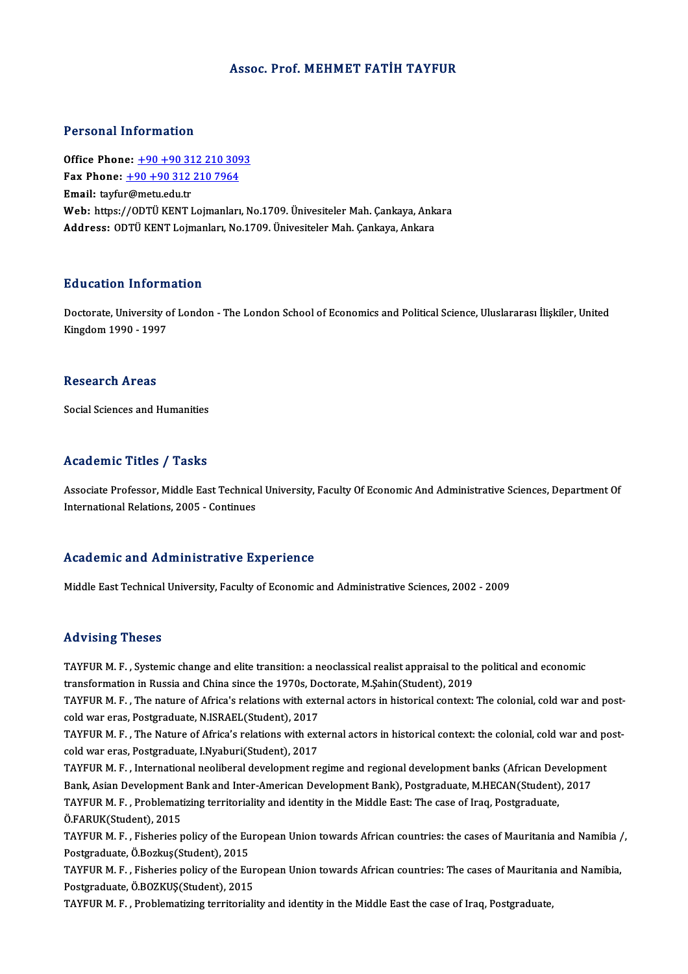## Assoc. Prof. MEHMET FATIH TAYFUR

## Personal Information

Office Phone: +90+90 312 210 3093 Fax Phone: <u>+90 +90 312 210 309</u><br>Fax Phone: <u>+90 +90 312 210 7964</u><br>Fmail: tarfur@matu.edu.tr Office Phone: <u>+90 +90 31</u><br>Fax Phone: <u>+90 +90 312</u><br>Email: tayfur@metu.edu.tr<br>Web: https://ODTÜ VENT I Fax Phone: <u>+90 +90 312 210 7964</u><br>Email: tayfur@metu.edu.tr<br>Web: https://ODTÜ KENT Lojmanları, No.1709. Ünivesiteler Mah. Çankaya, Ankara<br>Address: ODTÜ KENT Lojmanları, No.1709. Ünivesiteler Mah. Çankaya, Ankara Email: tayfur@metu.edu.tr<br>Web: https://ODTÜ KENT Lojmanları, No.1709. Ünivesiteler Mah. Çankaya, Ank<br>Address: ODTÜ KENT Lojmanları, No.1709. Ünivesiteler Mah. Çankaya, Ankara

## Education Information

**Education Information**<br>Doctorate, University of London - The London School of Economics and Political Science, Uluslararası İlişkiler, United<br>Kingdom 1990, 1997 24 december 1880 1891<br>Doctorate, University o<br>Kingdom 1990 - 1997 Kingdom 1990 - 1997<br>Research Areas

Social Sciences and Humanities

## Academic Titles / Tasks

Academic Titles / Tasks<br>Associate Professor, Middle East Technical University, Faculty Of Economic And Administrative Sciences, Department Of<br>International Pelations, 2005 - Continues International Presson, Middle East Technica<br>International Relations, 2005 - Continues International Relations, 2005 - Continues<br>Academic and Administrative Experience

Middle East Technical University, Faculty of Economic and Administrative Sciences, 2002 - 2009

## Advising Theses

Advising Theses<br>TAYFUR M. F. , Systemic change and elite transition: a neoclassical realist appraisal to the political and economic<br>transformation in Pussia and China since the 1970s. Dectants. M Sebin(Student), 2010. TAYFUR M. F. , Systemic change and elite transition: a neoclassical realist appraisal to the<br>transformation in Russia and China since the 1970s, Doctorate, M.Şahin(Student), 2019<br>TAYFUR M. E., The nature of Africa's relati TAYFUR M. F. , Systemic change and elite transition: a neoclassical realist appraisal to the political and economic<br>transformation in Russia and China since the 1970s, Doctorate, M.Şahin(Student), 2019<br>TAYFUR M. F. , The n

transformation in Russia and China since the 1970s, Doctorate, M.Şahin(Student), 2019<br>TAYFUR M. F. , The nature of Africa's relations with external actors in historical context:<br>cold war eras, Postgraduate, N.ISRAEL(Studen TAYFUR M. F. , The nature of Africa's relations with external actors in historical context: The colonial, cold war and post-<br>cold war eras, Postgraduate, N.ISRAEL(Student), 2017<br>TAYFUR M. F. , The Nature of Africa's relati

cold war eras, Postgraduate, I.Nyaburi(Student), 2017 TAYFUR M. F. , The Nature of Africa's relations with external actors in historical context: the colonial, cold war and post-cold war eras, Postgraduate, I.Nyaburi(Student), 2017<br>TAYFUR M. F. , International neoliberal deve

TAYFUR M. F., International neoliberal development regime and regional development banks (African Development TAYFUR M. F. , International neoliberal development regime and regional development banks (African Dev<br>Bank, Asian Development Bank and Inter-American Development Bank), Postgraduate, M.HECAN(Student)<br>TAYFUR M. F. , Proble

Bank, Asian Development<br>TAYFUR M. F. , Problemat<br>Ö.FARUK(Student), 2015<br>TAYFUP M. F. , Fisheries r TAYFUR M. F. , Problematizing territoriality and identity in the Middle East: The case of Iraq, Postgraduate,<br>Ö.FARUK(Student), 2015<br>TAYFUR M. F. , Fisheries policy of the European Union towards African countries: the case

Ö.FARUK(Student), 2015<br>TAYFUR M. F. , Fisheries policy of the Eu<br>Postgraduate, Ö.Bozkuş(Student), 2015<br>TAYFUP M. F. , Fisheries policy of the Eu TAYFUR M. F. , Fisheries policy of the European Union towards African countries: the cases of Mauritania and Namibia<br>Postgraduate, Ö.Bozkuş(Student), 2015<br>TAYFUR M. F. , Fisheries policy of the European Union towards Afric

Postgraduate, Ö.Bozkuş(Student), 2015<br>TAYFUR M. F. , Fisheries policy of the European Union towards African countries: The cases of Mauritania and Namibia,<br>Postgraduate, Ö.BOZKUŞ(Student), 2015

TAYFURM.F., Problematizing territoriality and identity in the Middle East the case of Iraq, Postgraduate,